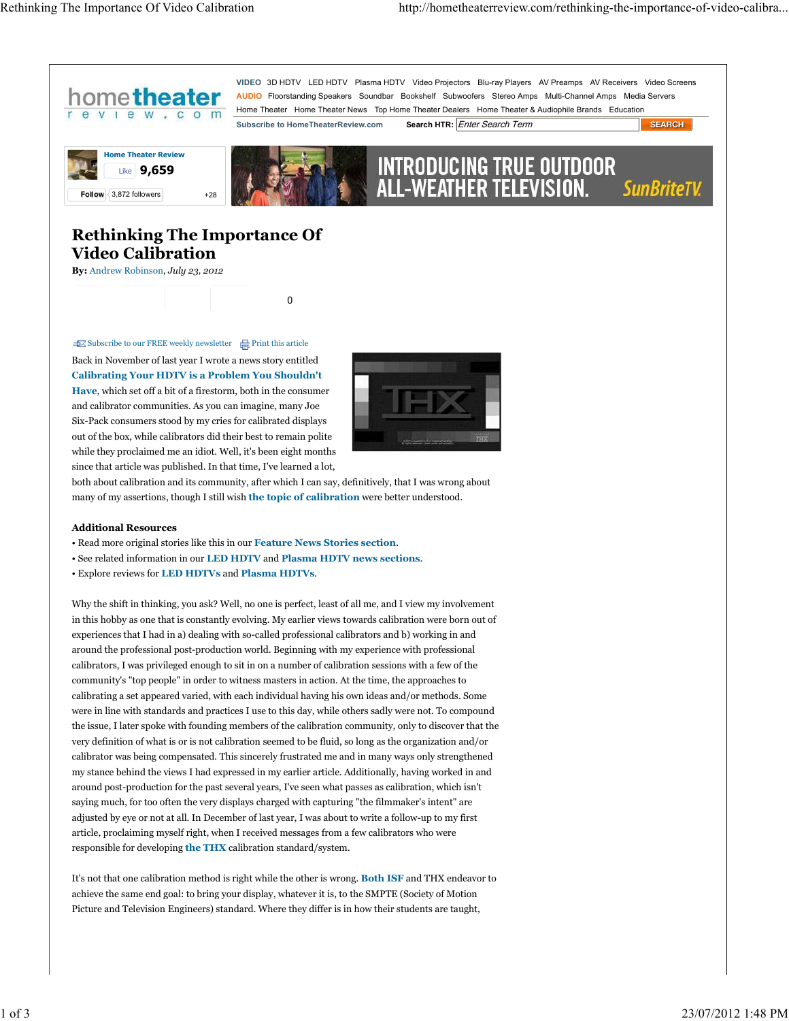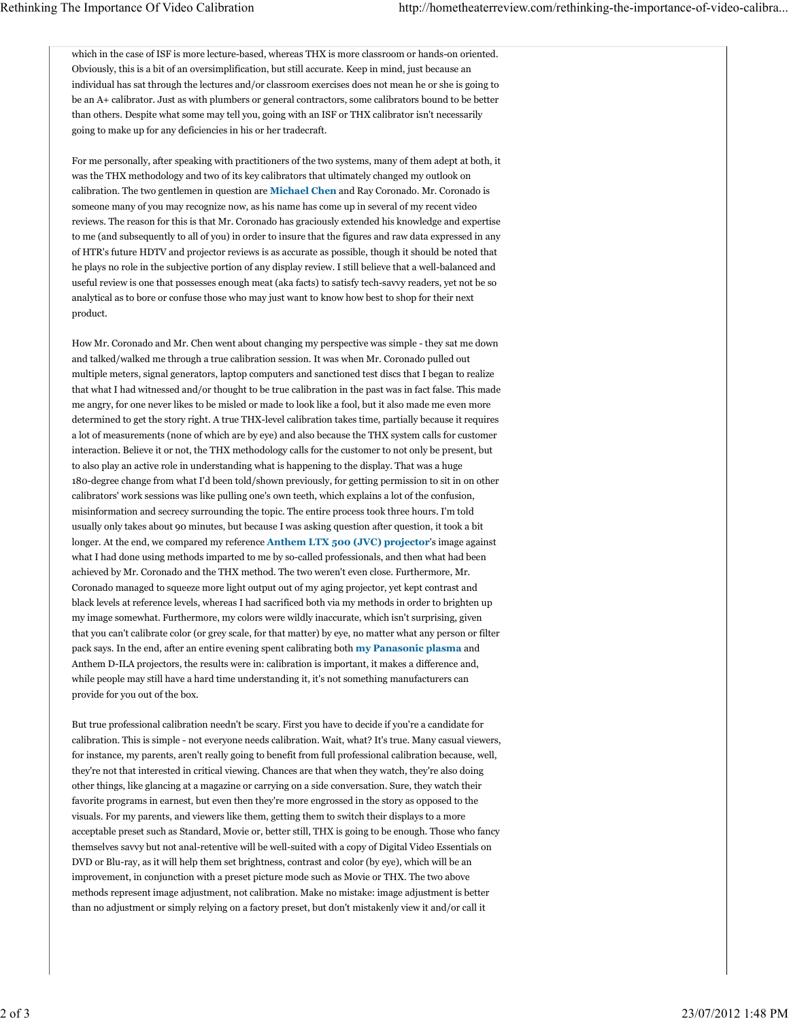which in the case of ISF is more lecture-based, whereas THX is more classroom or hands-on oriented. Obviously, this is a bit of an oversimplification, but still accurate. Keep in mind, just because an individual has sat through the lectures and/or classroom exercises does not mean he or she is going to be an A+ calibrator. Just as with plumbers or general contractors, some calibrators bound to be better than others. Despite what some may tell you, going with an ISF or THX calibrator isn't necessarily going to make up for any deficiencies in his or her tradecraft.

For me personally, after speaking with practitioners of the two systems, many of them adept at both, it was the THX methodology and two of its key calibrators that ultimately changed my outlook on calibration. The two gentlemen in question are **Michael Chen** and Ray Coronado. Mr. Coronado is someone many of you may recognize now, as his name has come up in several of my recent video reviews. The reason for this is that Mr. Coronado has graciously extended his knowledge and expertise to me (and subsequently to all of you) in order to insure that the figures and raw data expressed in any of HTR's future HDTV and projector reviews is as accurate as possible, though it should be noted that he plays no role in the subjective portion of any display review. I still believe that a well-balanced and useful review is one that possesses enough meat (aka facts) to satisfy tech-savvy readers, yet not be so analytical as to bore or confuse those who may just want to know how best to shop for their next product.

How Mr. Coronado and Mr. Chen went about changing my perspective was simple - they sat me down and talked/walked me through a true calibration session. It was when Mr. Coronado pulled out multiple meters, signal generators, laptop computers and sanctioned test discs that I began to realize that what I had witnessed and/or thought to be true calibration in the past was in fact false. This made me angry, for one never likes to be misled or made to look like a fool, but it also made me even more determined to get the story right. A true THX-level calibration takes time, partially because it requires a lot of measurements (none of which are by eye) and also because the THX system calls for customer interaction. Believe it or not, the THX methodology calls for the customer to not only be present, but to also play an active role in understanding what is happening to the display. That was a huge 180-degree change from what I'd been told/shown previously, for getting permission to sit in on other calibrators' work sessions was like pulling one's own teeth, which explains a lot of the confusion, misinformation and secrecy surrounding the topic. The entire process took three hours. I'm told usually only takes about 90 minutes, but because I was asking question after question, it took a bit longer. At the end, we compared my reference **Anthem LTX 500 (JVC) projector**'s image against what I had done using methods imparted to me by so-called professionals, and then what had been achieved by Mr. Coronado and the THX method. The two weren't even close. Furthermore, Mr. Coronado managed to squeeze more light output out of my aging projector, yet kept contrast and black levels at reference levels, whereas I had sacrificed both via my methods in order to brighten up my image somewhat. Furthermore, my colors were wildly inaccurate, which isn't surprising, given that you can't calibrate color (or grey scale, for that matter) by eye, no matter what any person or filter pack says. In the end, after an entire evening spent calibrating both **my Panasonic plasma** and Anthem D-ILA projectors, the results were in: calibration is important, it makes a difference and, while people may still have a hard time understanding it, it's not something manufacturers can provide for you out of the box.

But true professional calibration needn't be scary. First you have to decide if you're a candidate for calibration. This is simple - not everyone needs calibration. Wait, what? It's true. Many casual viewers, for instance, my parents, aren't really going to benefit from full professional calibration because, well, they're not that interested in critical viewing. Chances are that when they watch, they're also doing other things, like glancing at a magazine or carrying on a side conversation. Sure, they watch their favorite programs in earnest, but even then they're more engrossed in the story as opposed to the visuals. For my parents, and viewers like them, getting them to switch their displays to a more acceptable preset such as Standard, Movie or, better still, THX is going to be enough. Those who fancy themselves savvy but not anal-retentive will be well-suited with a copy of Digital Video Essentials on DVD or Blu-ray, as it will help them set brightness, contrast and color (by eye), which will be an improvement, in conjunction with a preset picture mode such as Movie or THX. The two above methods represent image adjustment, not calibration. Make no mistake: image adjustment is better than no adjustment or simply relying on a factory preset, but don't mistakenly view it and/or call it